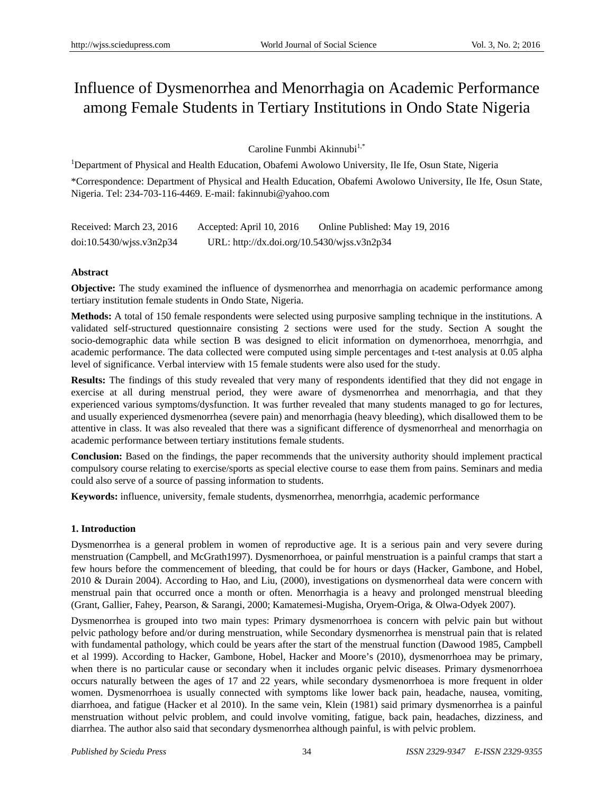# Influence of Dysmenorrhea and Menorrhagia on Academic Performance among Female Students in Tertiary Institutions in Ondo State Nigeria

Caroline Funmbi Akinnubi $1,$ \*

<sup>1</sup>Department of Physical and Health Education, Obafemi Awolowo University, Ile Ife, Osun State, Nigeria \*Correspondence: Department of Physical and Health Education, Obafemi Awolowo University, Ile Ife, Osun State, Nigeria. Tel: 234-703-116-4469. E-mail: fakinnubi@yahoo.com

| Received: March 23, 2016    | Accepted: April 10, 2016                    | Online Published: May 19, 2016 |
|-----------------------------|---------------------------------------------|--------------------------------|
| $doi:10.5430/w$ jss.v3n2p34 | URL: http://dx.doi.org/10.5430/wjss.v3n2p34 |                                |

# **Abstract**

**Objective:** The study examined the influence of dysmenorrhea and menorrhagia on academic performance among tertiary institution female students in Ondo State, Nigeria.

**Methods:** A total of 150 female respondents were selected using purposive sampling technique in the institutions. A validated self-structured questionnaire consisting 2 sections were used for the study. Section A sought the socio-demographic data while section B was designed to elicit information on dymenorrhoea, menorrhgia, and academic performance. The data collected were computed using simple percentages and t-test analysis at 0.05 alpha level of significance. Verbal interview with 15 female students were also used for the study.

**Results:** The findings of this study revealed that very many of respondents identified that they did not engage in exercise at all during menstrual period, they were aware of dysmenorrhea and menorrhagia, and that they experienced various symptoms/dysfunction. It was further revealed that many students managed to go for lectures, and usually experienced dysmenorrhea (severe pain) and menorrhagia (heavy bleeding), which disallowed them to be attentive in class. It was also revealed that there was a significant difference of dysmenorrheal and menorrhagia on academic performance between tertiary institutions female students.

**Conclusion:** Based on the findings, the paper recommends that the university authority should implement practical compulsory course relating to exercise/sports as special elective course to ease them from pains. Seminars and media could also serve of a source of passing information to students.

**Keywords:** influence, university, female students, dysmenorrhea, menorrhgia, academic performance

# **1. Introduction**

Dysmenorrhea is a general problem in women of reproductive age. It is a serious pain and very severe during menstruation (Campbell, and McGrath1997). Dysmenorrhoea, or painful menstruation is a painful cramps that start a few hours before the commencement of bleeding, that could be for hours or days (Hacker, Gambone, and Hobel, 2010 & Durain 2004). According to Hao, and Liu, (2000), investigations on dysmenorrheal data were concern with menstrual pain that occurred once a month or often. Menorrhagia is a heavy and prolonged menstrual bleeding (Grant, Gallier, Fahey, Pearson, & Sarangi, 2000; Kamatemesi-Mugisha, Oryem-Origa, & Olwa-Odyek 2007).

Dysmenorrhea is grouped into two main types: Primary dysmenorrhoea is concern with pelvic pain but without pelvic pathology before and/or during menstruation, while Secondary dysmenorrhea is menstrual pain that is related with fundamental pathology, which could be years after the start of the menstrual function (Dawood 1985, Campbell et al 1999). According to Hacker, Gambone, Hobel, Hacker and Moore's (2010), dysmenorrhoea may be primary, when there is no particular cause or secondary when it includes organic pelvic diseases. Primary dysmenorrhoea occurs naturally between the ages of 17 and 22 years, while secondary dysmenorrhoea is more frequent in older women. Dysmenorrhoea is usually connected with symptoms like lower back pain, headache, nausea, vomiting, diarrhoea, and fatigue (Hacker et al 2010). In the same vein, Klein (1981) said primary dysmenorrhea is a painful menstruation without pelvic problem, and could involve vomiting, fatigue, back pain, headaches, dizziness, and diarrhea. The author also said that secondary dysmenorrhea although painful, is with pelvic problem.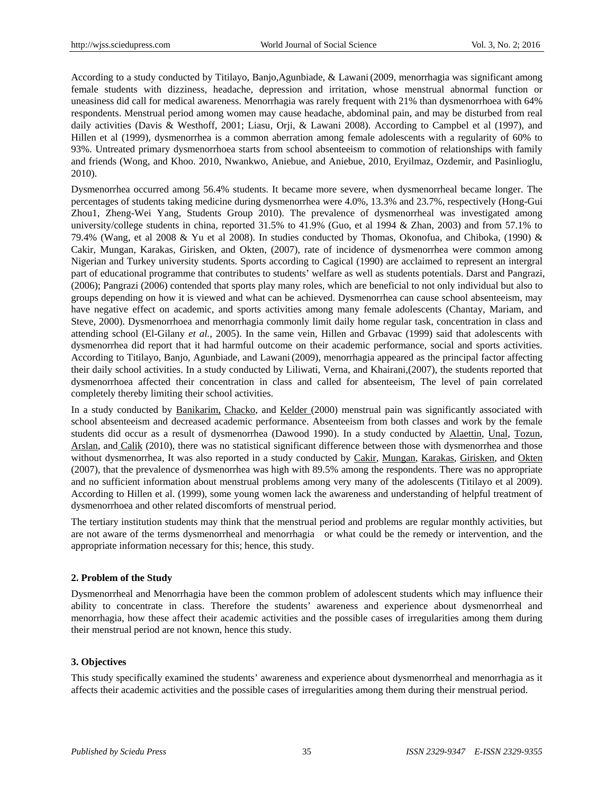According to a study conducted by Titilayo, Banjo,Agunbiade, & Lawani(2009, menorrhagia was significant among female students with dizziness, headache, depression and irritation, whose menstrual abnormal function or uneasiness did call for medical awareness. Menorrhagia was rarely frequent with 21% than dysmenorrhoea with 64% respondents. Menstrual period among women may cause headache, abdominal pain, and may be disturbed from real daily activities (Davis & Westhoff, 2001; Liasu, Orji, & Lawani 2008). According to Campbel et al (1997), and Hillen et al (1999), dysmenorrhea is a common aberration among female adolescents with a regularity of 60% to 93%. Untreated primary dysmenorrhoea starts from school absenteeism to commotion of relationships with family and friends (Wong, and Khoo. 2010, Nwankwo, Aniebue, and Aniebue, 2010, Eryilmaz, Ozdemir, and Pasinlioglu, 2010).

Dysmenorrhea occurred among 56.4% students. It became more severe, when dysmenorrheal became longer. The percentages of students taking medicine during dysmenorrhea were 4.0%, 13.3% and 23.7%, respectively (Hong-Gui Zhou1, Zheng-Wei Yang, Students Group 2010). The prevalence of dysmenorrheal was investigated among university/college students in china, reported 31.5% to 41.9% (Guo, et al 1994 & Zhan, 2003) and from 57.1% to 79.4% (Wang, et al 2008 & Yu et al 2008). In studies conducted by Thomas, Okonofua, and Chiboka, (1990) & Cakir, Mungan, Karakas, Girisken, and Okten, (2007), rate of incidence of dysmenorrhea were common among Nigerian and Turkey university students. Sports according to Cagical (1990) are acclaimed to represent an intergral part of educational programme that contributes to students' welfare as well as students potentials. Darst and Pangrazi, (2006); Pangrazi (2006) contended that sports play many roles, which are beneficial to not only individual but also to groups depending on how it is viewed and what can be achieved. Dysmenorrhea can cause school absenteeism, may have negative effect on academic, and sports activities among many female adolescents (Chantay, Mariam, and Steve, 2000). Dysmenorrhoea and menorrhagia commonly limit daily home regular task, concentration in class and attending school (El-Gilany *et al.*, 2005). In the same vein, Hillen and Grbavac (1999) said that adolescents with dysmenorrhea did report that it had harmful outcome on their academic performance, social and sports activities. According to Titilayo, Banjo, Agunbiade, and Lawani(2009), menorrhagia appeared as the principal factor affecting their daily school activities. In a study conducted by Liliwati, Verna, and Khairani,(2007), the students reported that dysmenorrhoea affected their concentration in class and called for absenteeism, The level of pain correlated completely thereby limiting their school activities.

In a study conducted by Banikarim, Chacko, and Kelder (2000) menstrual pain was significantly associated with school absenteeism and decreased academic performance. Absenteeism from both classes and work by the female students did occur as a result of dysmenorrhea (Dawood 1990). In a study conducted by Alaettin, Unal, Tozun, Arslan, and Calik (2010), there was no statistical significant difference between those with dysmenorrhea and those without dysmenorrhea, It was also reported in a study conducted by Cakir, Mungan, Karakas, Girisken, and Okten (2007), that the prevalence of dysmenorrhea was high with 89.5% among the respondents. There was no appropriate and no sufficient information about menstrual problems among very many of the adolescents (Titilayo et al 2009). According to Hillen et al. (1999), some young women lack the awareness and understanding of helpful treatment of dysmenorrhoea and other related discomforts of menstrual period.

The tertiary institution students may think that the menstrual period and problems are regular monthly activities, but are not aware of the terms dysmenorrheal and menorrhagia or what could be the remedy or intervention, and the appropriate information necessary for this; hence, this study.

## **2. Problem of the Study**

Dysmenorrheal and Menorrhagia have been the common problem of adolescent students which may influence their ability to concentrate in class. Therefore the students' awareness and experience about dysmenorrheal and menorrhagia, how these affect their academic activities and the possible cases of irregularities among them during their menstrual period are not known, hence this study.

## **3. Objectives**

This study specifically examined the students' awareness and experience about dysmenorrheal and menorrhagia as it affects their academic activities and the possible cases of irregularities among them during their menstrual period.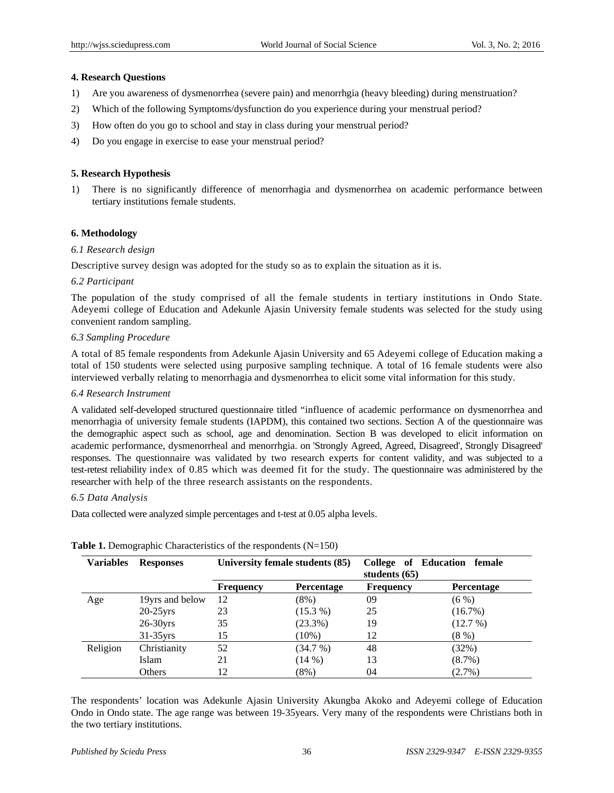#### **4. Research Questions**

- 1) Are you awareness of dysmenorrhea (severe pain) and menorrhgia (heavy bleeding) during menstruation?
- 2) Which of the following Symptoms/dysfunction do you experience during your menstrual period?
- 3) How often do you go to school and stay in class during your menstrual period?
- 4) Do you engage in exercise to ease your menstrual period?

# **5. Research Hypothesis**

1) There is no significantly difference of menorrhagia and dysmenorrhea on academic performance between tertiary institutions female students.

#### **6. Methodology**

#### *6.1 Research design*

Descriptive survey design was adopted for the study so as to explain the situation as it is.

#### *6.2 Participant*

The population of the study comprised of all the female students in tertiary institutions in Ondo State. Adeyemi college of Education and Adekunle Ajasin University female students was selected for the study using convenient random sampling.

#### *6.3 Sampling Procedure*

A total of 85 female respondents from Adekunle Ajasin University and 65 Adeyemi college of Education making a total of 150 students were selected using purposive sampling technique. A total of 16 female students were also interviewed verbally relating to menorrhagia and dysmenorrhea to elicit some vital information for this study.

#### *6.4 Research Instrument*

A validated self-developed structured questionnaire titled "influence of academic performance on dysmenorrhea and menorrhagia of university female students (IAPDM), this contained two sections. Section A of the questionnaire was the demographic aspect such as school, age and denomination. Section B was developed to elicit information on academic performance, dysmenorrheal and menorrhgia. on 'Strongly Agreed, Agreed, Disagreed', Strongly Disagreed' responses. The questionnaire was validated by two research experts for content validity, and was subjected to a test-retest reliability index of 0.85 which was deemed fit for the study. The questionnaire was administered by the researcher with help of the three research assistants on the respondents.

#### *6.5 Data Analysis*

Data collected were analyzed simple percentages and t-test at 0.05 alpha levels.

| <b>Variables</b> | <b>Responses</b> | University female students (85) |                   | students $(65)$  | College of Education female |
|------------------|------------------|---------------------------------|-------------------|------------------|-----------------------------|
|                  |                  | <b>Frequency</b>                | <b>Percentage</b> | <b>Frequency</b> | <b>Percentage</b>           |
| Age              | 19yrs and below  | 12                              | $(8\%)$           | 09               | $(6\%)$                     |
|                  | $20-25$ yrs      | 23                              | $(15.3\%)$        | 25               | (16.7%)                     |
|                  | $26-30$ yrs      | 35                              | (23.3%)           | 19               | (12.7%)                     |
|                  | $31-35$ yrs      | 15                              | $(10\%)$          | 12               | (8%)                        |
| Religion         | Christianity     | 52                              | (34.7%)           | 48               | (32%)                       |
|                  | Islam            | 21                              | (14%)             | 13               | $(8.7\%)$                   |
|                  | Others           | 12                              | $(8\%)$           | 04               | $(2.7\%)$                   |

## **Table 1.** Demographic Characteristics of the respondents (N=150)

The respondents' location was Adekunle Ajasin University Akungba Akoko and Adeyemi college of Education Ondo in Ondo state. The age range was between 19-35years. Very many of the respondents were Christians both in the two tertiary institutions.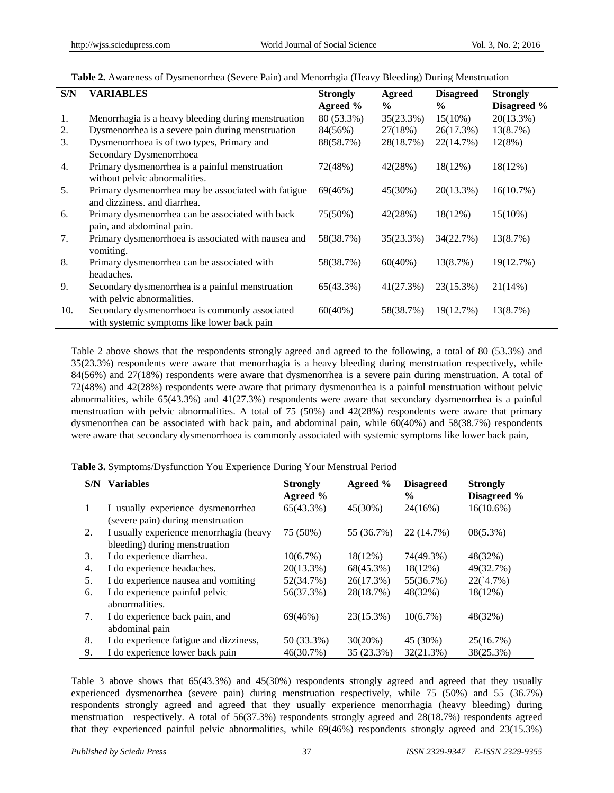| Table 2. Awareness of Dysmenorrhea (Severe Pain) and Menorrhgia (Heavy Bleeding) During Menstruation |  |  |  |
|------------------------------------------------------------------------------------------------------|--|--|--|
|------------------------------------------------------------------------------------------------------|--|--|--|

| S/N | <b>VARIABLES</b>                                    | <b>Strongly</b><br>Agreed $%$ | <b>Agreed</b><br>$\frac{6}{9}$ | <b>Disagreed</b><br>$\frac{6}{9}$ | <b>Strongly</b><br>Disagreed % |
|-----|-----------------------------------------------------|-------------------------------|--------------------------------|-----------------------------------|--------------------------------|
| 1.  | Menorrhagia is a heavy bleeding during menstruation | 80 (53.3%)                    | 35(23.3%)                      | $15(10\%)$                        | 20(13.3%)                      |
| 2.  | Dysmenorrhea is a severe pain during menstruation   | 84(56%)                       | 27(18%)                        | 26(17.3%)                         | 13(8.7%)                       |
| 3.  | Dysmenorrhoea is of two types, Primary and          | 88(58.7%)                     | 28(18.7%)                      | 22(14.7%)                         | 12(8%)                         |
|     | Secondary Dysmenorrhoea                             |                               |                                |                                   |                                |
| 4.  | Primary dysmenorrhea is a painful menstruation      | 72(48%)                       | 42(28%)                        | 18(12%)                           | 18(12%)                        |
|     | without pelvic abnormalities.                       |                               |                                |                                   |                                |
| 5.  | Primary dysmenorrhea may be associated with fatigue | 69(46%)                       | 45(30%)                        | $20(13.3\%)$                      | 16(10.7%)                      |
|     | and dizziness. and diarrhea.                        |                               |                                |                                   |                                |
| 6.  | Primary dysmenorrhea can be associated with back    | 75(50%)                       | 42(28%)                        | $18(12\%)$                        | $15(10\%)$                     |
|     | pain, and abdominal pain.                           |                               |                                |                                   |                                |
| 7.  | Primary dysmenorrhoea is associated with nausea and | 58(38.7%)                     | 35(23.3%)                      | 34(22.7%)                         | 13(8.7%)                       |
|     | vomiting.                                           |                               |                                |                                   |                                |
| 8.  | Primary dysmenorrhea can be associated with         | 58(38.7%)                     | $60(40\%)$                     | 13(8.7%)                          | 19(12.7%)                      |
|     | headaches.                                          |                               |                                |                                   |                                |
| 9.  | Secondary dysmenorrhea is a painful menstruation    | 65(43.3%)                     | 41(27.3%)                      | 23(15.3%)                         | 21(14%)                        |
|     | with pelvic abnormalities.                          |                               |                                |                                   |                                |
| 10. | Secondary dysmenorrhoea is commonly associated      | $60(40\%)$                    | 58(38.7%)                      | 19(12.7%)                         | 13(8.7%)                       |
|     | with systemic symptoms like lower back pain         |                               |                                |                                   |                                |

Table 2 above shows that the respondents strongly agreed and agreed to the following, a total of 80 (53.3%) and 35(23.3%) respondents were aware that menorrhagia is a heavy bleeding during menstruation respectively, while 84(56%) and 27(18%) respondents were aware that dysmenorrhea is a severe pain during menstruation. A total of 72(48%) and 42(28%) respondents were aware that primary dysmenorrhea is a painful menstruation without pelvic abnormalities, while 65(43.3%) and 41(27.3%) respondents were aware that secondary dysmenorrhea is a painful menstruation with pelvic abnormalities. A total of 75 (50%) and 42(28%) respondents were aware that primary dysmenorrhea can be associated with back pain, and abdominal pain, while 60(40%) and 58(38.7%) respondents were aware that secondary dysmenorrhoea is commonly associated with systemic symptoms like lower back pain,

| Table 3. Symptoms/Dysfunction You Experience During Your Menstrual Period |  |  |  |  |  |
|---------------------------------------------------------------------------|--|--|--|--|--|
|---------------------------------------------------------------------------|--|--|--|--|--|

| S/N | <b>Variables</b>                        | <b>Strongly</b><br>Agreed % | Agreed %   | <b>Disagreed</b><br>$\%$ | <b>Strongly</b><br>Disagreed % |
|-----|-----------------------------------------|-----------------------------|------------|--------------------------|--------------------------------|
| 1   | I usually experience dysmenorrhea       | 65(43.3%)                   | 45(30%)    | 24(16%)                  | $16(10.6\%)$                   |
|     | (severe pain) during menstruation       |                             |            |                          |                                |
| 2.  | I usually experience menorrhagia (heavy | 75 (50%)                    | 55 (36.7%) | 22 (14.7%)               | $08(5.3\%)$                    |
|     | bleeding) during menstruation           |                             |            |                          |                                |
| 3.  | I do experience diarrhea.               | $10(6.7\%)$                 | $18(12\%)$ | 74(49.3%)                | 48(32%)                        |
| 4.  | I do experience headaches.              | $20(13.3\%)$                | 68(45.3%)  | 18(12%)                  | 49(32.7%)                      |
| 5.  | I do experience nausea and vomiting     | 52(34.7%)                   | 26(17.3%)  | 55(36.7%)                | $22(^{4.7\%})$                 |
| 6.  | I do experience painful pelvic          | 56(37.3%)                   | 28(18.7%)  | 48(32%)                  | $18(12\%)$                     |
|     | abnormalities.                          |                             |            |                          |                                |
| 7.  | I do experience back pain, and          | 69(46%)                     | 23(15.3%)  | 10(6.7%)                 | 48(32%)                        |
|     | abdominal pain                          |                             |            |                          |                                |
| 8.  | I do experience fatigue and dizziness,  | 50 (33.3%)                  | 30(20%)    | 45 (30%)                 | 25(16.7%)                      |
| 9.  | I do experience lower back pain         | 46(30.7%)                   | 35 (23.3%) | 32(21.3%)                | 38(25.3%)                      |

Table 3 above shows that 65(43.3%) and 45(30%) respondents strongly agreed and agreed that they usually experienced dysmenorrhea (severe pain) during menstruation respectively, while 75 (50%) and 55 (36.7%) respondents strongly agreed and agreed that they usually experience menorrhagia (heavy bleeding) during menstruation respectively. A total of 56(37.3%) respondents strongly agreed and 28(18.7%) respondents agreed that they experienced painful pelvic abnormalities, while 69(46%) respondents strongly agreed and 23(15.3%)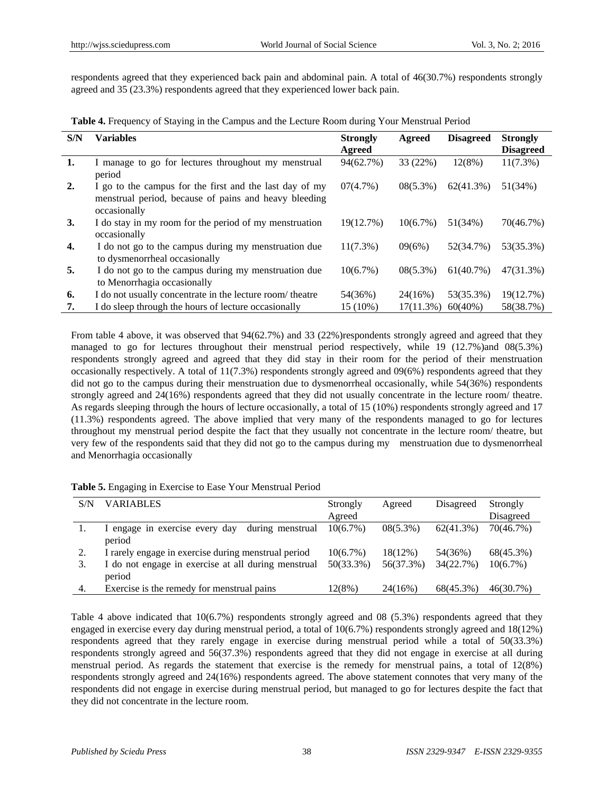respondents agreed that they experienced back pain and abdominal pain. A total of 46(30.7%) respondents strongly agreed and 35 (23.3%) respondents agreed that they experienced lower back pain.

**Table 4.** Frequency of Staying in the Campus and the Lecture Room during Your Menstrual Period

| S/N | <b>Variables</b>                                          | <b>Strongly</b> | Agreed      | <b>Disagreed</b> | <b>Strongly</b>  |
|-----|-----------------------------------------------------------|-----------------|-------------|------------------|------------------|
|     |                                                           | Agreed          |             |                  | <b>Disagreed</b> |
| 1.  | I manage to go for lectures throughout my menstrual       | 94(62.7%)       | 33 (22%)    | 12(8%)           | $11(7.3\%)$      |
|     | period                                                    |                 |             |                  |                  |
| 2.  | I go to the campus for the first and the last day of my   | 07(4.7%)        | $08(5.3\%)$ | 62(41.3%)        | 51(34%)          |
|     | menstrual period, because of pains and heavy bleeding     |                 |             |                  |                  |
|     | occasionally                                              |                 |             |                  |                  |
| 3.  | I do stay in my room for the period of my menstruation    | 19(12.7%)       | 10(6.7%)    | 51(34%)          | 70(46.7%)        |
|     | occasionally                                              |                 |             |                  |                  |
| 4.  | I do not go to the campus during my menstruation due      | $11(7.3\%)$     | 09(6%)      | 52(34.7%)        | 53(35.3%)        |
|     | to dysmenorrheal occasionally                             |                 |             |                  |                  |
| 5.  | I do not go to the campus during my menstruation due      | 10(6.7%)        | $08(5.3\%)$ | 61(40.7%)        | 47(31.3%)        |
|     | to Menorrhagia occasionally                               |                 |             |                  |                  |
| 6.  | I do not usually concentrate in the lecture room/ theatre | 54(36%)         | 24(16%)     | 53(35.3%)        | 19(12.7%)        |
| 7.  | I do sleep through the hours of lecture occasionally      | 15 (10%)        | 17(11.3%)   | $60(40\%)$       | 58(38.7%)        |

From table 4 above, it was observed that  $94(62.7%)$  and 33 (22%)respondents strongly agreed and agreed that they managed to go for lectures throughout their menstrual period respectively, while 19 (12.7%)and 08(5.3%) respondents strongly agreed and agreed that they did stay in their room for the period of their menstruation occasionally respectively. A total of  $11(7.3\%)$  respondents strongly agreed and  $09(6\%)$  respondents agreed that they did not go to the campus during their menstruation due to dysmenorrheal occasionally, while 54(36%) respondents strongly agreed and 24(16%) respondents agreed that they did not usually concentrate in the lecture room/ theatre. As regards sleeping through the hours of lecture occasionally, a total of 15 (10%) respondents strongly agreed and 17 (11.3%) respondents agreed. The above implied that very many of the respondents managed to go for lectures throughout my menstrual period despite the fact that they usually not concentrate in the lecture room/ theatre, but very few of the respondents said that they did not go to the campus during my menstruation due to dysmenorrheal and Menorrhagia occasionally

| S/N | <b>VARIABLES</b>                                              | Strongly<br>Agreed | Agreed      | Disagreed | Strongly<br>Disagreed |
|-----|---------------------------------------------------------------|--------------------|-------------|-----------|-----------------------|
|     | during menstrual<br>engage in exercise every day<br>period    | $10(6.7\%)$        | $08(5.3\%)$ | 62(41.3%) | 70(46.7%)             |
| 2.  | I rarely engage in exercise during menstrual period           | $10(6.7\%)$        | $18(12\%)$  | 54(36%)   | 68(45.3%)             |
|     | I do not engage in exercise at all during menstrual<br>period | $50(33.3\%)$       | 56(37.3%)   | 34(22.7%) | $10(6.7\%)$           |
| -4. | Exercise is the remedy for menstrual pains                    | 12(8%)             | 24(16%)     | 68(45.3%) | 46(30.7%)             |

**Table 5.** Engaging in Exercise to Ease Your Menstrual Period

Table 4 above indicated that 10(6.7%) respondents strongly agreed and 08 (5.3%) respondents agreed that they engaged in exercise every day during menstrual period, a total of 10(6.7%) respondents strongly agreed and 18(12%) respondents agreed that they rarely engage in exercise during menstrual period while a total of 50(33.3%) respondents strongly agreed and 56(37.3%) respondents agreed that they did not engage in exercise at all during menstrual period. As regards the statement that exercise is the remedy for menstrual pains, a total of 12(8%) respondents strongly agreed and 24(16%) respondents agreed. The above statement connotes that very many of the respondents did not engage in exercise during menstrual period, but managed to go for lectures despite the fact that they did not concentrate in the lecture room.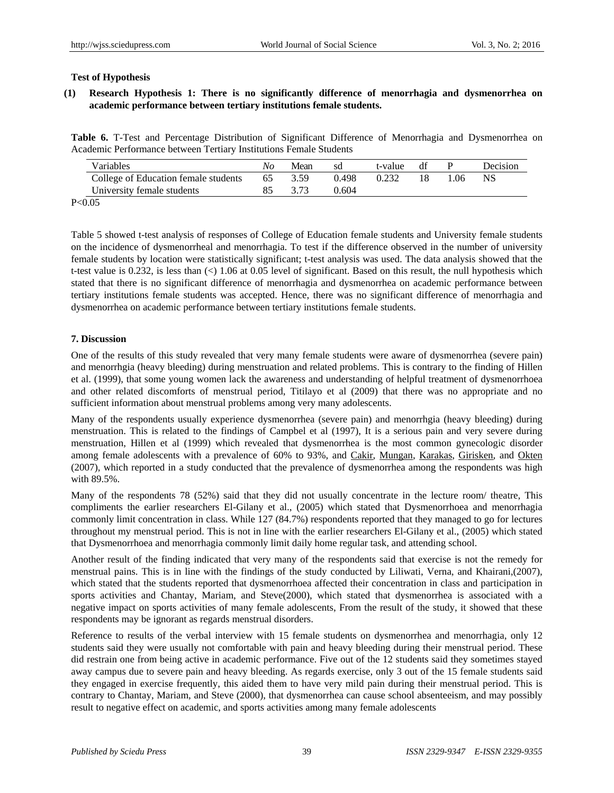# **Test of Hypothesis**

# **(1) Research Hypothesis 1: There is no significantly difference of menorrhagia and dysmenorrhea on academic performance between tertiary institutions female students.**

**Table 6.** T-Test and Percentage Distribution of Significant Difference of Menorrhagia and Dysmenorrhea on Academic Performance between Tertiary Institutions Female Students

| Variables                            | No. | Mean | sd    | t-value | df | Decision |
|--------------------------------------|-----|------|-------|---------|----|----------|
| College of Education female students | 65  | 3.59 | 0.498 | 0.232   |    |          |
| University female students           |     |      | 0.604 |         |    |          |

P<0.05

Table 5 showed t-test analysis of responses of College of Education female students and University female students on the incidence of dysmenorrheal and menorrhagia. To test if the difference observed in the number of university female students by location were statistically significant; t-test analysis was used. The data analysis showed that the t-test value is 0.232, is less than (<) 1.06 at 0.05 level of significant. Based on this result, the null hypothesis which stated that there is no significant difference of menorrhagia and dysmenorrhea on academic performance between tertiary institutions female students was accepted. Hence, there was no significant difference of menorrhagia and dysmenorrhea on academic performance between tertiary institutions female students.

## **7. Discussion**

One of the results of this study revealed that very many female students were aware of dysmenorrhea (severe pain) and menorrhgia (heavy bleeding) during menstruation and related problems. This is contrary to the finding of Hillen et al. (1999), that some young women lack the awareness and understanding of helpful treatment of dysmenorrhoea and other related discomforts of menstrual period, Titilayo et al (2009) that there was no appropriate and no sufficient information about menstrual problems among very many adolescents.

Many of the respondents usually experience dysmenorrhea (severe pain) and menorrhgia (heavy bleeding) during menstruation. This is related to the findings of Campbel et al (1997), It is a serious pain and very severe during menstruation, Hillen et al (1999) which revealed that dysmenorrhea is the most common gynecologic disorder among female adolescents with a prevalence of 60% to 93%, and Cakir, Mungan, Karakas, Girisken, and Okten (2007), which reported in a study conducted that the prevalence of dysmenorrhea among the respondents was high with 89.5%.

Many of the respondents 78 (52%) said that they did not usually concentrate in the lecture room/ theatre, This compliments the earlier researchers El-Gilany et al., (2005) which stated that Dysmenorrhoea and menorrhagia commonly limit concentration in class. While 127 (84.7%) respondents reported that they managed to go for lectures throughout my menstrual period. This is not in line with the earlier researchers El-Gilany et al., (2005) which stated that Dysmenorrhoea and menorrhagia commonly limit daily home regular task, and attending school.

Another result of the finding indicated that very many of the respondents said that exercise is not the remedy for menstrual pains. This is in line with the findings of the study conducted by Liliwati, Verna, and Khairani,(2007), which stated that the students reported that dysmenorrhoea affected their concentration in class and participation in sports activities and Chantay, Mariam, and Steve(2000), which stated that dysmenorrhea is associated with a negative impact on sports activities of many female adolescents, From the result of the study, it showed that these respondents may be ignorant as regards menstrual disorders.

Reference to results of the verbal interview with 15 female students on dysmenorrhea and menorrhagia, only 12 students said they were usually not comfortable with pain and heavy bleeding during their menstrual period. These did restrain one from being active in academic performance. Five out of the 12 students said they sometimes stayed away campus due to severe pain and heavy bleeding. As regards exercise, only 3 out of the 15 female students said they engaged in exercise frequently, this aided them to have very mild pain during their menstrual period. This is contrary to Chantay, Mariam, and Steve (2000), that dysmenorrhea can cause school absenteeism, and may possibly result to negative effect on academic, and sports activities among many female adolescents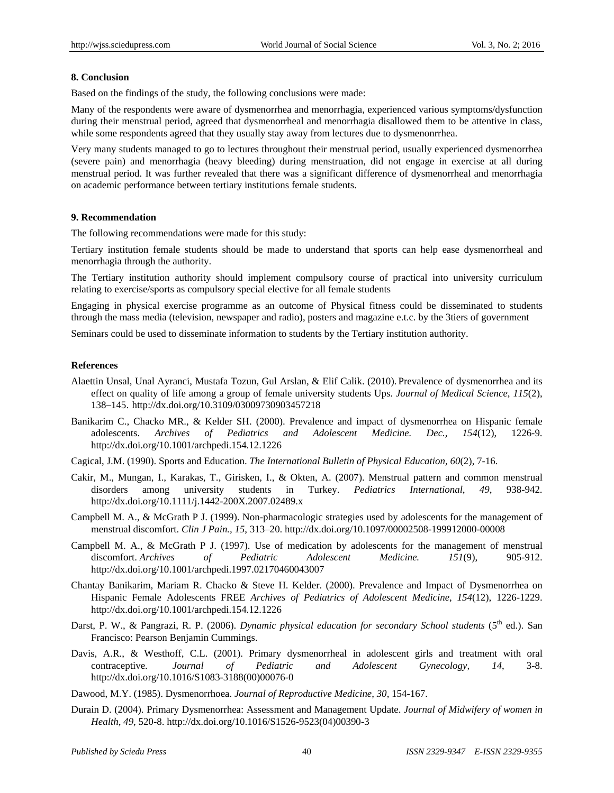#### **8. Conclusion**

Based on the findings of the study, the following conclusions were made:

Many of the respondents were aware of dysmenorrhea and menorrhagia, experienced various symptoms/dysfunction during their menstrual period, agreed that dysmenorrheal and menorrhagia disallowed them to be attentive in class, while some respondents agreed that they usually stay away from lectures due to dysmenonrrhea.

Very many students managed to go to lectures throughout their menstrual period, usually experienced dysmenorrhea (severe pain) and menorrhagia (heavy bleeding) during menstruation, did not engage in exercise at all during menstrual period. It was further revealed that there was a significant difference of dysmenorrheal and menorrhagia on academic performance between tertiary institutions female students.

#### **9. Recommendation**

The following recommendations were made for this study:

Tertiary institution female students should be made to understand that sports can help ease dysmenorrheal and menorrhagia through the authority.

The Tertiary institution authority should implement compulsory course of practical into university curriculum relating to exercise/sports as compulsory special elective for all female students

Engaging in physical exercise programme as an outcome of Physical fitness could be disseminated to students through the mass media (television, newspaper and radio), posters and magazine e.t.c. by the 3tiers of government

Seminars could be used to disseminate information to students by the Tertiary institution authority.

#### **References**

- Alaettin Unsal, Unal Ayranci, Mustafa Tozun, Gul Arslan, & Elif Calik. (2010). Prevalence of dysmenorrhea and its effect on quality of life among a group of female university students Ups. *Journal of Medical Science*, *115*(2), 138–145. http://dx.doi.org/10.3109/03009730903457218
- Banikarim C., Chacko MR., & Kelder SH. (2000). Prevalence and impact of dysmenorrhea on Hispanic female adolescents. *Archives of Pediatrics and Adolescent Medicine. Dec., 154*(12), 1226-9. http://dx.doi.org/10.1001/archpedi.154.12.1226

Cagical, J.M. (1990). Sports and Education. *The International Bulletin of Physical Education, 60*(2), 7-16.

- Cakir, M., Mungan, I., Karakas, T., Girisken, I., & Okten, A. (2007). Menstrual pattern and common menstrual disorders among university students in Turkey. *Pediatrics International*, *49*, 938-942. http://dx.doi.org/10.1111/j.1442-200X.2007.02489.x
- Campbell M. A., & McGrath P J. (1999). Non-pharmacologic strategies used by adolescents for the management of menstrual discomfort. *Clin J Pain., 15*, 313–20. http://dx.doi.org/10.1097/00002508-199912000-00008
- Campbell M. A., & McGrath P J. (1997). Use of medication by adolescents for the management of menstrual discomfort. *Archives of Pediatric Adolescent Medicine. 151*(9), 905-912. http://dx.doi.org/10.1001/archpedi.1997.02170460043007
- Chantay Banikarim, Mariam R. Chacko & Steve H. Kelder. (2000). Prevalence and Impact of Dysmenorrhea on Hispanic Female Adolescents FREE *Archives of Pediatrics of Adolescent Medicine*, *154*(12), 1226-1229. http://dx.doi.org/10.1001/archpedi.154.12.1226
- Darst, P. W., & Pangrazi, R. P. (2006). *Dynamic physical education for secondary School students* (5<sup>th</sup> ed.). San Francisco: Pearson Benjamin Cummings.
- Davis, A.R., & Westhoff, C.L. (2001). Primary dysmenorrheal in adolescent girls and treatment with oral contraceptive. *Journal of Pediatric and Adolescent Gynecology, 14*, 3-8. http://dx.doi.org/10.1016/S1083-3188(00)00076-0

Dawood, M.Y. (1985). Dysmenorrhoea. *Journal of Reproductive Medicine*, *30*, 154-167.

Durain D. (2004). Primary Dysmenorrhea: Assessment and Management Update. *Journal of Midwifery of women in Health, 49*, 520-8. http://dx.doi.org/10.1016/S1526-9523(04)00390-3